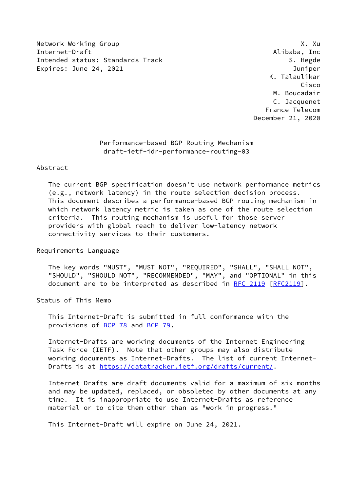Network Working Group **X. 2008** Network Working Group **X. Xu** Internet-Draft Alibaba, Inc Intended status: Standards Track S. Hegde S. Hegde Expires: June 24, 2021 **Interpretate and Contract Contract Contract Contract Contract Contract Contract Contract Contract Contract Contract Contract Contract Contract Contract Contract Contract Contract Contract Contract C** 

 K. Talaulikar Cisco M. Boucadair C. Jacquenet France Telecom December 21, 2020

# Performance-based BGP Routing Mechanism draft-ietf-idr-performance-routing-03

#### Abstract

 The current BGP specification doesn't use network performance metrics (e.g., network latency) in the route selection decision process. This document describes a performance-based BGP routing mechanism in which network latency metric is taken as one of the route selection criteria. This routing mechanism is useful for those server providers with global reach to deliver low-latency network connectivity services to their customers.

Requirements Language

 The key words "MUST", "MUST NOT", "REQUIRED", "SHALL", "SHALL NOT", "SHOULD", "SHOULD NOT", "RECOMMENDED", "MAY", and "OPTIONAL" in this document are to be interpreted as described in [RFC 2119 \[RFC2119](https://datatracker.ietf.org/doc/pdf/rfc2119)].

Status of This Memo

 This Internet-Draft is submitted in full conformance with the provisions of [BCP 78](https://datatracker.ietf.org/doc/pdf/bcp78) and [BCP 79](https://datatracker.ietf.org/doc/pdf/bcp79).

 Internet-Drafts are working documents of the Internet Engineering Task Force (IETF). Note that other groups may also distribute working documents as Internet-Drafts. The list of current Internet Drafts is at<https://datatracker.ietf.org/drafts/current/>.

 Internet-Drafts are draft documents valid for a maximum of six months and may be updated, replaced, or obsoleted by other documents at any time. It is inappropriate to use Internet-Drafts as reference material or to cite them other than as "work in progress."

This Internet-Draft will expire on June 24, 2021.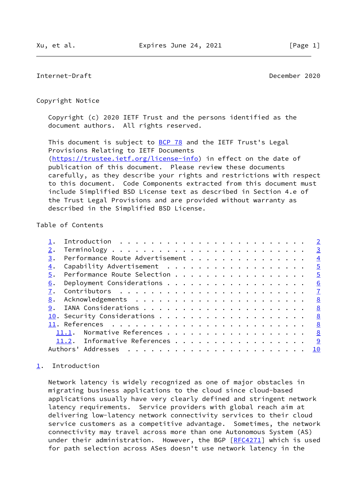<span id="page-1-1"></span>Internet-Draft December 2020

### Copyright Notice

 Copyright (c) 2020 IETF Trust and the persons identified as the document authors. All rights reserved.

This document is subject to **[BCP 78](https://datatracker.ietf.org/doc/pdf/bcp78)** and the IETF Trust's Legal Provisions Relating to IETF Documents [\(https://trustee.ietf.org/license-info](https://trustee.ietf.org/license-info)) in effect on the date of publication of this document. Please review these documents carefully, as they describe your rights and restrictions with respect to this document. Code Components extracted from this document must include Simplified BSD License text as described in Section 4.e of the Trust Legal Provisions and are provided without warranty as described in the Simplified BSD License.

# Table of Contents

|    |                                                                      |  |  |  |  |  |  |  | $\overline{\phantom{0}}^2$ |
|----|----------------------------------------------------------------------|--|--|--|--|--|--|--|----------------------------|
| 2. |                                                                      |  |  |  |  |  |  |  | $\overline{\mathbf{3}}$    |
| 3. | Performance Route Advertisement 4                                    |  |  |  |  |  |  |  |                            |
| 4. | Capability Advertisement $\ldots \ldots \ldots \ldots \ldots \ldots$ |  |  |  |  |  |  |  |                            |
| 5. | Performance Route Selection                                          |  |  |  |  |  |  |  | $\overline{5}$             |
| 6. |                                                                      |  |  |  |  |  |  |  | 6                          |
| 7. |                                                                      |  |  |  |  |  |  |  |                            |
| 8. |                                                                      |  |  |  |  |  |  |  | 8                          |
| 9. |                                                                      |  |  |  |  |  |  |  | 8                          |
|    |                                                                      |  |  |  |  |  |  |  | $\frac{8}{2}$              |
|    |                                                                      |  |  |  |  |  |  |  | 8                          |
|    | 11.1. Normative References                                           |  |  |  |  |  |  |  | $\frac{8}{2}$              |
|    | 11.2. Informative References                                         |  |  |  |  |  |  |  | <u>9</u>                   |
|    | Authors' Addresses                                                   |  |  |  |  |  |  |  | 10                         |
|    |                                                                      |  |  |  |  |  |  |  |                            |

# <span id="page-1-0"></span>[1](#page-1-0). Introduction

 Network latency is widely recognized as one of major obstacles in migrating business applications to the cloud since cloud-based applications usually have very clearly defined and stringent network latency requirements. Service providers with global reach aim at delivering low-latency network connectivity services to their cloud service customers as a competitive advantage. Sometimes, the network connectivity may travel across more than one Autonomous System (AS) under their administration. However, the BGP [[RFC4271](https://datatracker.ietf.org/doc/pdf/rfc4271)] which is used for path selection across ASes doesn't use network latency in the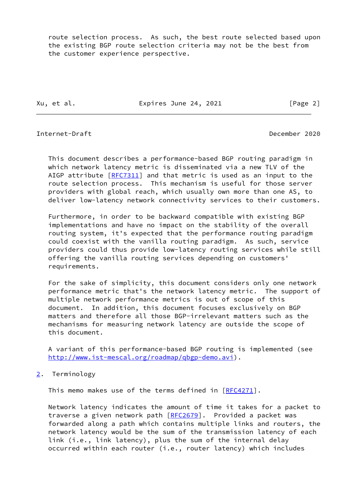route selection process. As such, the best route selected based upon the existing BGP route selection criteria may not be the best from the customer experience perspective.

Xu, et al. Expires June 24, 2021 [Page 2]

#### <span id="page-2-1"></span>Internet-Draft December 2020

 This document describes a performance-based BGP routing paradigm in which network latency metric is disseminated via a new TLV of the AIGP attribute [\[RFC7311](https://datatracker.ietf.org/doc/pdf/rfc7311)] and that metric is used as an input to the route selection process. This mechanism is useful for those server providers with global reach, which usually own more than one AS, to deliver low-latency network connectivity services to their customers.

 Furthermore, in order to be backward compatible with existing BGP implementations and have no impact on the stability of the overall routing system, it's expected that the performance routing paradigm could coexist with the vanilla routing paradigm. As such, service providers could thus provide low-latency routing services while still offering the vanilla routing services depending on customers' requirements.

 For the sake of simplicity, this document considers only one network performance metric that's the network latency metric. The support of multiple network performance metrics is out of scope of this document. In addition, this document focuses exclusively on BGP matters and therefore all those BGP-irrelevant matters such as the mechanisms for measuring network latency are outside the scope of this document.

 A variant of this performance-based BGP routing is implemented (see <http://www.ist-mescal.org/roadmap/qbgp-demo.avi>).

### <span id="page-2-0"></span>[2](#page-2-0). Terminology

This memo makes use of the terms defined in  $[REC4271]$ .

 Network latency indicates the amount of time it takes for a packet to traverse a given network path [[RFC2679](https://datatracker.ietf.org/doc/pdf/rfc2679)]. Provided a packet was forwarded along a path which contains multiple links and routers, the network latency would be the sum of the transmission latency of each link (i.e., link latency), plus the sum of the internal delay occurred within each router (i.e., router latency) which includes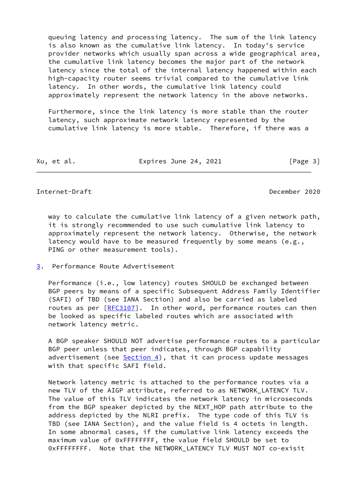queuing latency and processing latency. The sum of the link latency is also known as the cumulative link latency. In today's service provider networks which usually span across a wide geographical area, the cumulative link latency becomes the major part of the network latency since the total of the internal latency happened within each high-capacity router seems trivial compared to the cumulative link latency. In other words, the cumulative link latency could approximately represent the network latency in the above networks.

 Furthermore, since the link latency is more stable than the router latency, such approximate network latency represented by the cumulative link latency is more stable. Therefore, if there was a

Xu, et al. Expires June 24, 2021 [Page 3]

<span id="page-3-1"></span>Internet-Draft December 2020

 way to calculate the cumulative link latency of a given network path, it is strongly recommended to use such cumulative link latency to approximately represent the network latency. Otherwise, the network latency would have to be measured frequently by some means  $(e.g.,)$ PING or other measurement tools).

<span id="page-3-0"></span>[3](#page-3-0). Performance Route Advertisement

Performance (i.e., low latency) routes SHOULD be exchanged between BGP peers by means of a specific Subsequent Address Family Identifier (SAFI) of TBD (see IANA Section) and also be carried as labeled routes as per [[RFC3107](https://datatracker.ietf.org/doc/pdf/rfc3107)]. In other word, performance routes can then be looked as specific labeled routes which are associated with network latency metric.

 A BGP speaker SHOULD NOT advertise performance routes to a particular BGP peer unless that peer indicates, through BGP capability advertisement (see  $Section 4$ ), that it can process update messages with that specific SAFI field.

 Network latency metric is attached to the performance routes via a new TLV of the AIGP attribute, referred to as NETWORK\_LATENCY TLV. The value of this TLV indicates the network latency in microseconds from the BGP speaker depicted by the NEXT HOP path attribute to the address depicted by the NLRI prefix. The type code of this TLV is TBD (see IANA Section), and the value field is 4 octets in length. In some abnormal cases, if the cumulative link latency exceeds the maximum value of 0xFFFFFFFF, the value field SHOULD be set to 0xFFFFFFFF. Note that the NETWORK\_LATENCY TLV MUST NOT co-exisit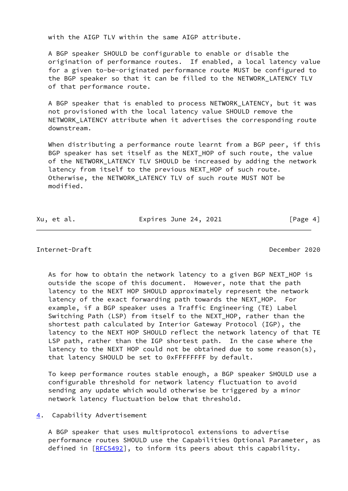with the AIGP TLV within the same AIGP attribute.

 A BGP speaker SHOULD be configurable to enable or disable the origination of performance routes. If enabled, a local latency value for a given to-be-originated performance route MUST be configured to the BGP speaker so that it can be filled to the NETWORK\_LATENCY TLV of that performance route.

 A BGP speaker that is enabled to process NETWORK\_LATENCY, but it was not provisioned with the local latency value SHOULD remove the NETWORK\_LATENCY attribute when it advertises the corresponding route downstream.

 When distributing a performance route learnt from a BGP peer, if this BGP speaker has set itself as the NEXT\_HOP of such route, the value of the NETWORK LATENCY TLV SHOULD be increased by adding the network latency from itself to the previous NEXT\_HOP of such route. Otherwise, the NETWORK\_LATENCY TLV of such route MUST NOT be modified.

Xu, et al. Expires June 24, 2021 [Page 4]

### <span id="page-4-1"></span>Internet-Draft December 2020

 As for how to obtain the network latency to a given BGP NEXT\_HOP is outside the scope of this document. However, note that the path latency to the NEXT HOP SHOULD approximately represent the network latency of the exact forwarding path towards the NEXT\_HOP. For example, if a BGP speaker uses a Traffic Engineering (TE) Label Switching Path (LSP) from itself to the NEXT\_HOP, rather than the shortest path calculated by Interior Gateway Protocol (IGP), the latency to the NEXT HOP SHOULD reflect the network latency of that TE LSP path, rather than the IGP shortest path. In the case where the latency to the NEXT HOP could not be obtained due to some reason(s), that latency SHOULD be set to 0xFFFFFFFF by default.

 To keep performance routes stable enough, a BGP speaker SHOULD use a configurable threshold for network latency fluctuation to avoid sending any update which would otherwise be triggered by a minor network latency fluctuation below that threshold.

### <span id="page-4-0"></span>[4](#page-4-0). Capability Advertisement

 A BGP speaker that uses multiprotocol extensions to advertise performance routes SHOULD use the Capabilities Optional Parameter, as defined in [[RFC5492\]](https://datatracker.ietf.org/doc/pdf/rfc5492), to inform its peers about this capability.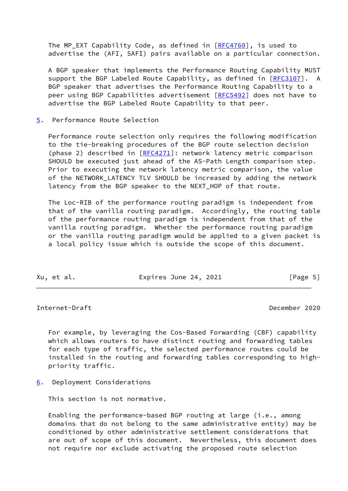The MP\_EXT Capability Code, as defined in [[RFC4760](https://datatracker.ietf.org/doc/pdf/rfc4760)], is used to advertise the (AFI, SAFI) pairs available on a particular connection.

 A BGP speaker that implements the Performance Routing Capability MUST support the BGP Labeled Route Capability, as defined in [\[RFC3107](https://datatracker.ietf.org/doc/pdf/rfc3107)]. A BGP speaker that advertises the Performance Routing Capability to a peer using BGP Capabilities advertisement [[RFC5492](https://datatracker.ietf.org/doc/pdf/rfc5492)] does not have to advertise the BGP Labeled Route Capability to that peer.

<span id="page-5-0"></span>[5](#page-5-0). Performance Route Selection

 Performance route selection only requires the following modification to the tie-breaking procedures of the BGP route selection decision (phase 2) described in [\[RFC4271](https://datatracker.ietf.org/doc/pdf/rfc4271)]: network latency metric comparison SHOULD be executed just ahead of the AS-Path Length comparison step. Prior to executing the network latency metric comparison, the value of the NETWORK\_LATENCY TLV SHOULD be increased by adding the network latency from the BGP speaker to the NEXT\_HOP of that route.

 The Loc-RIB of the performance routing paradigm is independent from that of the vanilla routing paradigm. Accordingly, the routing table of the performance routing paradigm is independent from that of the vanilla routing paradigm. Whether the performance routing paradigm or the vanilla routing paradigm would be applied to a given packet is a local policy issue which is outside the scope of this document.

Xu, et al. Expires June 24, 2021 [Page 5]

#### <span id="page-5-2"></span>Internet-Draft December 2020

 For example, by leveraging the Cos-Based Forwarding (CBF) capability which allows routers to have distinct routing and forwarding tables for each type of traffic, the selected performance routes could be installed in the routing and forwarding tables corresponding to high priority traffic.

<span id="page-5-1"></span>[6](#page-5-1). Deployment Considerations

This section is not normative.

Enabling the performance-based BGP routing at large (i.e., among domains that do not belong to the same administrative entity) may be conditioned by other administrative settlement considerations that are out of scope of this document. Nevertheless, this document does not require nor exclude activating the proposed route selection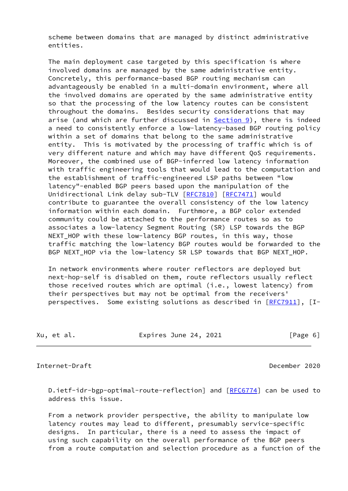scheme between domains that are managed by distinct administrative entities.

 The main deployment case targeted by this specification is where involved domains are managed by the same administrative entity. Concretely, this performance-based BGP routing mechanism can advantageously be enabled in a multi-domain environment, where all the involved domains are operated by the same administrative entity so that the processing of the low latency routes can be consistent throughout the domains. Besides security considerations that may arise (and which are further discussed in **Section 9**), there is indeed a need to consistently enforce a low-latency-based BGP routing policy within a set of domains that belong to the same administrative entity. This is motivated by the processing of traffic which is of very different nature and which may have different QoS requirements. Moreover, the combined use of BGP-inferred low latency information with traffic engineering tools that would lead to the computation and the establishment of traffic-engineered LSP paths between "low latency"-enabled BGP peers based upon the manipulation of the Unidirectional Link delay sub-TLV [[RFC7810](https://datatracker.ietf.org/doc/pdf/rfc7810)] [\[RFC7471](https://datatracker.ietf.org/doc/pdf/rfc7471)] would contribute to guarantee the overall consistency of the low latency information within each domain. Furthmore, a BGP color extended community could be attached to the performance routes so as to associates a low-latency Segment Routing (SR) LSP towards the BGP NEXT\_HOP with these low-latency BGP routes, in this way, those traffic matching the low-latency BGP routes would be forwarded to the BGP NEXT\_HOP via the low-latency SR LSP towards that BGP NEXT\_HOP.

 In network environments where router reflectors are deployed but next-hop-self is disabled on them, route reflectors usually reflect those received routes which are optimal (i.e., lowest latency) from their perspectives but may not be optimal from the receivers' perspectives. Some existing solutions as described in [\[RFC7911](https://datatracker.ietf.org/doc/pdf/rfc7911)], [I-

Xu, et al. Expires June 24, 2021 [Page 6]

<span id="page-6-0"></span>Internet-Draft December 2020

D.ietf-idr-bgp-optimal-route-reflection] and [\[RFC6774](https://datatracker.ietf.org/doc/pdf/rfc6774)] can be used to address this issue.

 From a network provider perspective, the ability to manipulate low latency routes may lead to different, presumably service-specific designs. In particular, there is a need to assess the impact of using such capability on the overall performance of the BGP peers from a route computation and selection procedure as a function of the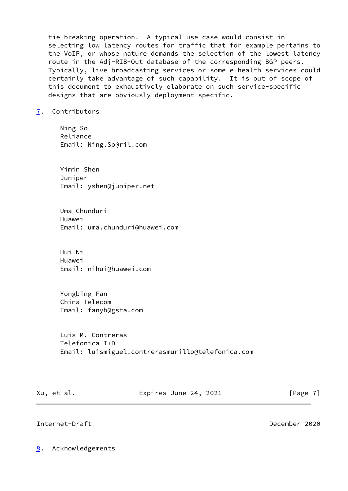tie-breaking operation. A typical use case would consist in selecting low latency routes for traffic that for example pertains to the VoIP, or whose nature demands the selection of the lowest latency route in the Adj-RIB-Out database of the corresponding BGP peers. Typically, live broadcasting services or some e-health services could certainly take advantage of such capability. It is out of scope of this document to exhaustively elaborate on such service-specific designs that are obviously deployment-specific.

<span id="page-7-0"></span>[7](#page-7-0). Contributors

 Ning So Reliance Email: Ning.So@ril.com

 Yimin Shen Juniper Email: yshen@juniper.net

 Uma Chunduri Huawei Email: uma.chunduri@huawei.com

 Hui Ni Huawei Email: nihui@huawei.com

 Yongbing Fan China Telecom Email: fanyb@gsta.com

 Luis M. Contreras Telefonica I+D Email: luismiguel.contrerasmurillo@telefonica.com

Xu, et al. Expires June 24, 2021 [Page 7]

# <span id="page-7-2"></span>Internet-Draft December 2020

<span id="page-7-1"></span>[8](#page-7-1). Acknowledgements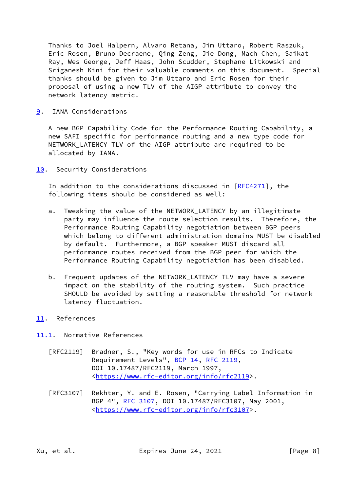Thanks to Joel Halpern, Alvaro Retana, Jim Uttaro, Robert Raszuk, Eric Rosen, Bruno Decraene, Qing Zeng, Jie Dong, Mach Chen, Saikat Ray, Wes George, Jeff Haas, John Scudder, Stephane Litkowski and Sriganesh Kini for their valuable comments on this document. Special thanks should be given to Jim Uttaro and Eric Rosen for their proposal of using a new TLV of the AIGP attribute to convey the network latency metric.

<span id="page-8-0"></span>[9](#page-8-0). IANA Considerations

 A new BGP Capability Code for the Performance Routing Capability, a new SAFI specific for performance routing and a new type code for NETWORK\_LATENCY TLV of the AIGP attribute are required to be allocated by IANA.

<span id="page-8-1"></span>[10.](#page-8-1) Security Considerations

 In addition to the considerations discussed in [\[RFC4271](https://datatracker.ietf.org/doc/pdf/rfc4271)], the following items should be considered as well:

- a. Tweaking the value of the NETWORK\_LATENCY by an illegitimate party may influence the route selection results. Therefore, the Performance Routing Capability negotiation between BGP peers which belong to different administration domains MUST be disabled by default. Furthermore, a BGP speaker MUST discard all performance routes received from the BGP peer for which the Performance Routing Capability negotiation has been disabled.
- b. Frequent updates of the NETWORK\_LATENCY TLV may have a severe impact on the stability of the routing system. Such practice SHOULD be avoided by setting a reasonable threshold for network latency fluctuation.
- <span id="page-8-2"></span>[11.](#page-8-2) References
- <span id="page-8-3"></span>[11.1](#page-8-3). Normative References
	- [RFC2119] Bradner, S., "Key words for use in RFCs to Indicate Requirement Levels", [BCP 14](https://datatracker.ietf.org/doc/pdf/bcp14), [RFC 2119](https://datatracker.ietf.org/doc/pdf/rfc2119), DOI 10.17487/RFC2119, March 1997, <[https://www.rfc-editor.org/info/rfc2119>](https://www.rfc-editor.org/info/rfc2119).
	- [RFC3107] Rekhter, Y. and E. Rosen, "Carrying Label Information in BGP-4", [RFC 3107,](https://datatracker.ietf.org/doc/pdf/rfc3107) DOI 10.17487/RFC3107, May 2001, <[https://www.rfc-editor.org/info/rfc3107>](https://www.rfc-editor.org/info/rfc3107).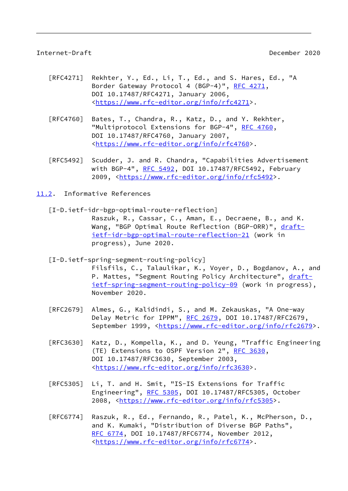### <span id="page-9-1"></span>Internet-Draft December 2020

- [RFC4271] Rekhter, Y., Ed., Li, T., Ed., and S. Hares, Ed., "A Border Gateway Protocol 4 (BGP-4)", [RFC 4271,](https://datatracker.ietf.org/doc/pdf/rfc4271) DOI 10.17487/RFC4271, January 2006, <[https://www.rfc-editor.org/info/rfc4271>](https://www.rfc-editor.org/info/rfc4271).
- [RFC4760] Bates, T., Chandra, R., Katz, D., and Y. Rekhter, "Multiprotocol Extensions for BGP-4", [RFC 4760](https://datatracker.ietf.org/doc/pdf/rfc4760), DOI 10.17487/RFC4760, January 2007, <[https://www.rfc-editor.org/info/rfc4760>](https://www.rfc-editor.org/info/rfc4760).
- [RFC5492] Scudder, J. and R. Chandra, "Capabilities Advertisement with BGP-4", [RFC 5492](https://datatracker.ietf.org/doc/pdf/rfc5492), DOI 10.17487/RFC5492, February 2009, [<https://www.rfc-editor.org/info/rfc5492](https://www.rfc-editor.org/info/rfc5492)>.
- <span id="page-9-0"></span>[11.2](#page-9-0). Informative References
	- [I-D.ietf-idr-bgp-optimal-route-reflection] Raszuk, R., Cassar, C., Aman, E., Decraene, B., and K. Wang, "BGP Optimal Route Reflection (BGP-ORR)", [draft](https://datatracker.ietf.org/doc/pdf/draft-ietf-idr-bgp-optimal-route-reflection-21) [ietf-idr-bgp-optimal-route-reflection-21](https://datatracker.ietf.org/doc/pdf/draft-ietf-idr-bgp-optimal-route-reflection-21) (work in progress), June 2020.
	- [I-D.ietf-spring-segment-routing-policy] Filsfils, C., Talaulikar, K., Voyer, D., Bogdanov, A., and P. Mattes, "Segment Routing Policy Architecture", [draft](https://datatracker.ietf.org/doc/pdf/draft-ietf-spring-segment-routing-policy-09) [ietf-spring-segment-routing-policy-09](https://datatracker.ietf.org/doc/pdf/draft-ietf-spring-segment-routing-policy-09) (work in progress), November 2020.
	- [RFC2679] Almes, G., Kalidindi, S., and M. Zekauskas, "A One-way Delay Metric for IPPM", [RFC 2679,](https://datatracker.ietf.org/doc/pdf/rfc2679) DOI 10.17487/RFC2679, September 1999, <[https://www.rfc-editor.org/info/rfc2679>](https://www.rfc-editor.org/info/rfc2679).
	- [RFC3630] Katz, D., Kompella, K., and D. Yeung, "Traffic Engineering (TE) Extensions to OSPF Version 2", [RFC 3630,](https://datatracker.ietf.org/doc/pdf/rfc3630) DOI 10.17487/RFC3630, September 2003, <[https://www.rfc-editor.org/info/rfc3630>](https://www.rfc-editor.org/info/rfc3630).
	- [RFC5305] Li, T. and H. Smit, "IS-IS Extensions for Traffic Engineering", [RFC 5305](https://datatracker.ietf.org/doc/pdf/rfc5305), DOI 10.17487/RFC5305, October 2008, [<https://www.rfc-editor.org/info/rfc5305](https://www.rfc-editor.org/info/rfc5305)>.
	- [RFC6774] Raszuk, R., Ed., Fernando, R., Patel, K., McPherson, D., and K. Kumaki, "Distribution of Diverse BGP Paths", [RFC 6774,](https://datatracker.ietf.org/doc/pdf/rfc6774) DOI 10.17487/RFC6774, November 2012, <[https://www.rfc-editor.org/info/rfc6774>](https://www.rfc-editor.org/info/rfc6774).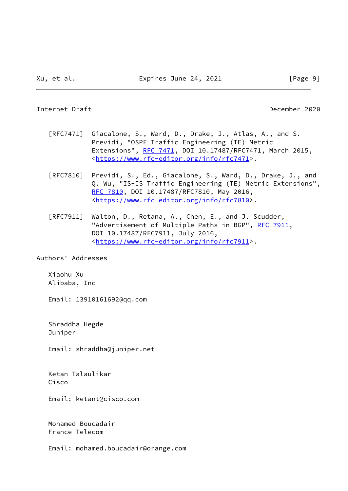#### <span id="page-10-0"></span>Internet-Draft December 2020

- [RFC7471] Giacalone, S., Ward, D., Drake, J., Atlas, A., and S. Previdi, "OSPF Traffic Engineering (TE) Metric Extensions", [RFC 7471](https://datatracker.ietf.org/doc/pdf/rfc7471), DOI 10.17487/RFC7471, March 2015, <[https://www.rfc-editor.org/info/rfc7471>](https://www.rfc-editor.org/info/rfc7471).
- [RFC7810] Previdi, S., Ed., Giacalone, S., Ward, D., Drake, J., and Q. Wu, "IS-IS Traffic Engineering (TE) Metric Extensions", [RFC 7810,](https://datatracker.ietf.org/doc/pdf/rfc7810) DOI 10.17487/RFC7810, May 2016, <[https://www.rfc-editor.org/info/rfc7810>](https://www.rfc-editor.org/info/rfc7810).
- [RFC7911] Walton, D., Retana, A., Chen, E., and J. Scudder, "Advertisement of Multiple Paths in BGP", [RFC 7911](https://datatracker.ietf.org/doc/pdf/rfc7911), DOI 10.17487/RFC7911, July 2016, <[https://www.rfc-editor.org/info/rfc7911>](https://www.rfc-editor.org/info/rfc7911).

Authors' Addresses

 Xiaohu Xu Alibaba, Inc

Email: 13910161692@qq.com

 Shraddha Hegde Juniper

Email: shraddha@juniper.net

 Ketan Talaulikar Cisco

Email: ketant@cisco.com

 Mohamed Boucadair France Telecom

Email: mohamed.boucadair@orange.com